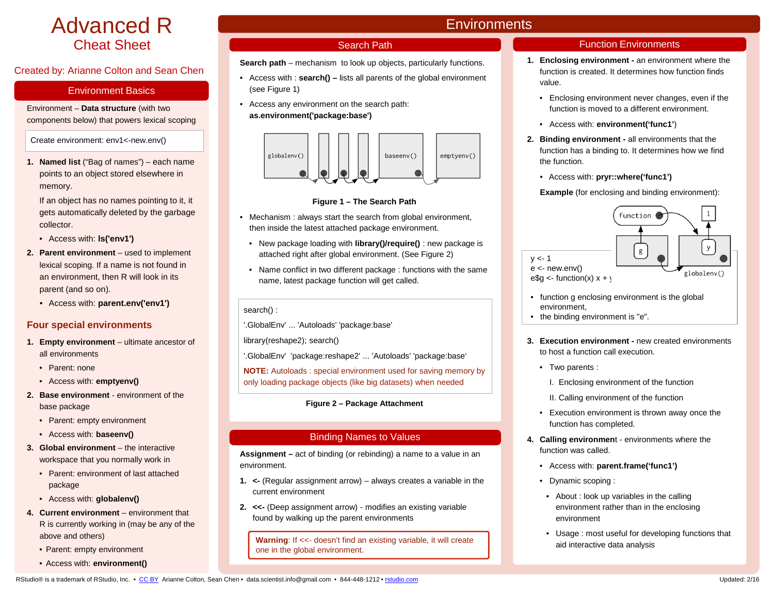# Advanced R Cheat Sheet

# Created by: Arianne Colton and Sean Chen

## Environment Basics

Environment – **Data structure** (with two components below) that powers lexical scoping

Create environment: env1<-new.env()

**1. Named list** ("Bag of names") – each name points to an object stored elsewhere in memory.

If an object has no names pointing to it, it gets automatically deleted by the garbage collector.

- Access with: **ls('env1')**
- **2. Parent environment**  used to implement lexical scoping. If a name is not found in an environment, then R will look in its parent (and so on).
	- Access with: **parent.env('env1')**

# **Four special environments**

- 1. **Empty environment** ultimate ancestor of all environments
	- Parent: none
	- Access with: **emptyenv()**
- **2. Base environment**  environment of the base package
	- Parent: empty environment
	- Access with: **baseenv()**
- **3. Global environment**  the interactive workspace that you normally work in
	- Parent: environment of last attached package
	- Access with: **globalenv()**
- **4. Current environment**  environment that R is currently working in (may be any of the above and others)
	- Parent: empty environment
	- Access with: **environment()**

# **Environments**

# Search Path

**Search path** – mechanism to look up objects, particularly functions.

- Access with : **search() –** lists all parents of the global environment (see Figure 1)
- Access any environment on the search path: **as.environment('package:base')**



# **Figure 1 – The Search Path**

- Mechanism : always start the search from global environment, then inside the latest attached package environment.
	- New package loading with **library()/require()** : new package is attached right after global environment. (See Figure 2)
	- Name conflict in two different package : functions with the same name, latest package function will get called.

# search() :

'.GlobalEnv' ... 'Autoloads' 'package:base'

library(reshape2); search()

'.GlobalEnv' 'package:reshape2' ... 'Autoloads' 'package:base'

**NOTE:** Autoloads : special environment used for saving memory by only loading package objects (like big datasets) when needed

# **Figure 2 – Package Attachment**

# Binding Names to Values

**Assignment –** act of binding (or rebinding) a name to a value in an environment.

- **1. <-** (Regular assignment arrow) always creates a variable in the current environment
- **2. <<-** (Deep assignment arrow) modifies an existing variable found by walking up the parent environments

**Warning:** If <<- doesn't find an existing variable, it will create one in the global environment.

# Function Environments

- **1. Enclosing environment -** an environment where the function is created. It determines how function finds value.
	- Enclosing environment never changes, even if the function is moved to a different environment.
	- Access with: **environment('func1'**)
- **2. Binding environment -** all environments that the function has a binding to. It determines how we find the function.
	- Access with: **pryr::where('func1')**

# **Example** (for enclosing and binding environment):



- function g enclosing environment is the global environment,
- the binding environment is "e".
- **3. Execution environment -** new created environments to host a function call execution.
	- Two parents :
		- I. Enclosing environment of the function
		- II. Calling environment of the function
	- Execution environment is thrown away once the function has completed.
- **4. Calling environmen**t environments where the function was called.
	- Access with: **parent.frame('func1')**
	- Dynamic scoping :
	- About : look up variables in the calling environment rather than in the enclosing environment
	- Usage : most useful for developing functions that aid interactive data analysis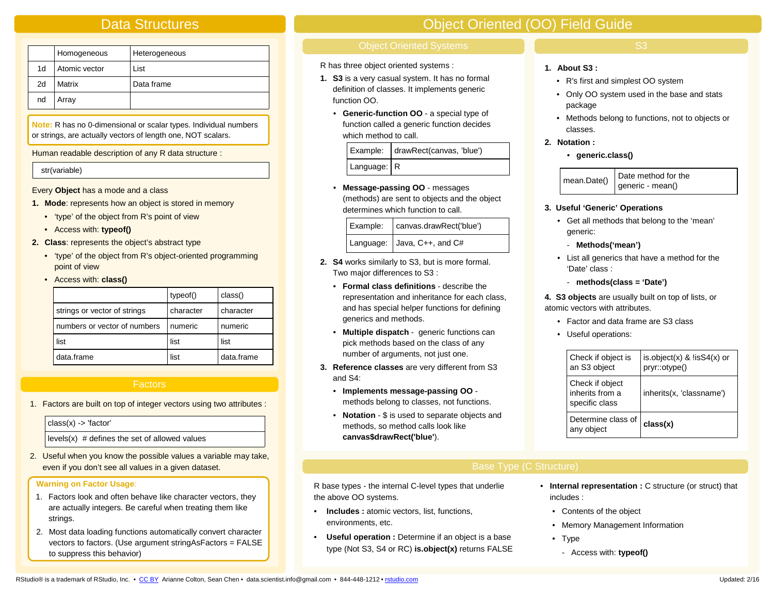# Data Structures

|    | Homogeneous   | Heterogeneous |
|----|---------------|---------------|
| 1d | Atomic vector | List          |
| 2d | Matrix        | Data frame    |
| nd | Array         |               |

**Note:** R has no 0-dimensional or scalar types. Individual numbers or strings, are actually vectors of length one, NOT scalars.

Human readable description of any R data structure :

#### str(variable)

Every **Object** has a mode and a class

- **1. Mode**: represents how an object is stored in memory
	- 'type' of the object from R's point of view
	- Access with: **typeof()**
- **2. Class**: represents the object's abstract type
	- 'type' of the object from R's object-oriented programming point of view
	- Access with: **class()**

|                              | typeof()  | class()    |
|------------------------------|-----------|------------|
| strings or vector of strings | character | character  |
| numbers or vector of numbers | numeric   | numeric    |
| list                         | list      | list       |
| data.frame                   | list      | data.frame |

# Factors

1. Factors are built on top of integer vectors using two attributes :

| class(x) -> 'factor'                                  | <b>Notation</b> - $\phi$ is used to separate objects and<br>methods, so method calls look like | Determine class of<br>l any object | class(x) |
|-------------------------------------------------------|------------------------------------------------------------------------------------------------|------------------------------------|----------|
| $\vert$ levels(x) # defines the set of allowed values | canvas\$drawRect('blue').                                                                      |                                    |          |

2. Useful when you know the possible values a variable may take, even if you don't see all values in a given dataset. The set of the set of the set of the set of the Structure Base Type (C Structure)

### **Warning on Factor Usage**:

- 1. Factors look and often behave like character vectors, they are actually integers. Be careful when treating them like strings.
- 2. Most data loading functions automatically convert character vectors to factors. (Use argument stringAsFactors = FALSE to suppress this behavior)

# Object Oriented (OO) Field Guide

R has three object oriented systems :

- **1. S3** is a very casual system. It has no formal definition of classes. It implements generic function OO.
	- **Generic-function OO** a special type of function called a generic function decides which method to call.

|  |               | Example:   drawRect(canvas, 'blue') |
|--|---------------|-------------------------------------|
|  | Language:   R |                                     |

• **Message-passing OO** - messages (methods) are sent to objects and the object determines which function to call.

| Example: | canvas.drawRect('blue')         |
|----------|---------------------------------|
|          | Language: $ $ Java, C++, and C# |

- **2. S4** works similarly to S3, but is more formal. Two major differences to S3 :
	- **Formal class definitions**  describe the representation and inheritance for each class, and has special helper functions for defining generics and methods.
	- **Multiple dispatch** generic functions can pick methods based on the class of any number of arguments, not just one.
- **3. Reference classes** are very different from S3 and S4:
	- **Implements message-passing OO**  methods belong to classes, not functions.
	- **Notation** \$ is used to separate objects and **canvas\$drawRect('blue'**).

# S3

- **1. About S3 :**
	- R's first and simplest OO system
	- Only OO system used in the base and stats package
	- Methods belong to functions, not to objects or classes.
- **2. Notation :** 
	- **generic.class()**

mean.Date()  $\big|$  Date method for the generic - mean()

#### **3. Useful 'Generic' Operations**

- Get all methods that belong to the 'mean' generic:
	- **Methods('mean')**
- List all generics that have a method for the 'Date' class :
	- **methods(class = 'Date')**

**4. S3 objects** are usually built on top of lists, or atomic vectors with attributes.

- Factor and data frame are S3 class
- Useful operations:

| Check if object is<br>an S3 object                   | is.object(x) $&$ !is $S4(x)$ or<br>pryr::otype() |
|------------------------------------------------------|--------------------------------------------------|
| Check if object<br>inherits from a<br>specific class | inherits(x, 'classname')                         |
| Determine class of<br>any object                     | class(x)                                         |

R base types - the internal C-level types that underlie the above OO systems.

- **Includes :** atomic vectors, list, functions, environments, etc.
- **Useful operation :** Determine if an object is a base type (Not S3, S4 or RC) **is.object(x)** returns FALSE
- **Internal representation :** C structure (or struct) that includes :
	- Contents of the object
	- Memory Management Information
	- Type
		- Access with: **typeof()**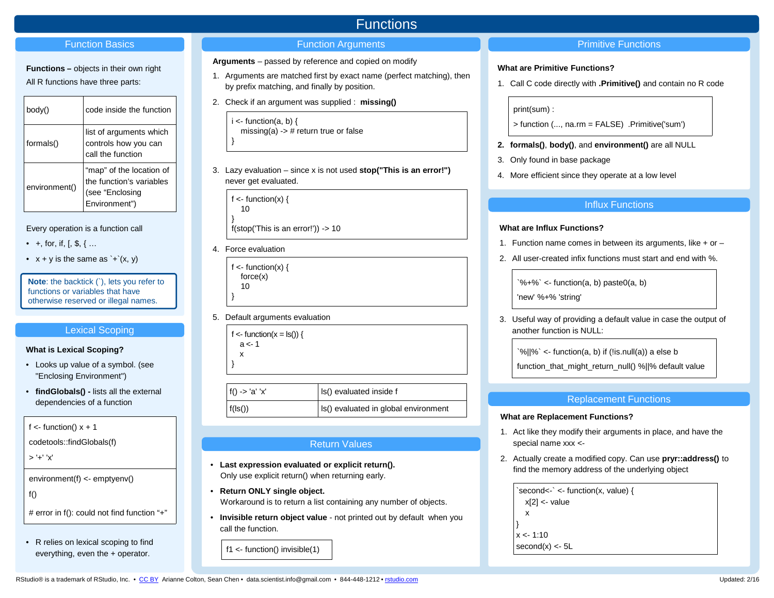## Function Basics

# **Functions –** objects in their own right

All R functions have three parts:

| body()        | code inside the function                                                                 |
|---------------|------------------------------------------------------------------------------------------|
| formals()     | list of arguments which<br>controls how you can<br>call the function                     |
| environment() | "map" of the location of<br>the function's variables<br>(see "Enclosing<br>Environment") |

# Every operation is a function call

- +, for, if,  $[$ ,  $\$, \$ ,  $\{$ ...
- $x + y$  is the same as  $\div(x, y)$

**Note**: the backtick (`), lets you refer to functions or variables that have otherwise reserved or illegal names.

# Lexical Scoping

#### **What is Lexical Scoping?**

- Looks up value of a symbol. (see "Enclosing Environment")
- **findGlobals() -** lists all the external dependencies of a function

f  $\lt$ - function()  $x + 1$ 

codetools::findGlobals(f)

> '+' 'x'

environment(f) <- emptyenv()

 $f()$ 

# error in f(): could not find function "+"

• R relies on lexical scoping to find everything, even the + operator.

# Functions

# **Function Arguments Primitive Functions**

- **Arguments**  passed by reference and copied on modify
- 1. Arguments are matched first by exact name (perfect matching), then by prefix matching, and finally by position.
- 2. Check if an argument was supplied : **missing()**

 $i$  <- function(a, b) { missing(a)  $\rightarrow$  # return true or false }

3. Lazy evaluation – since x is not used **stop("This is an error!")**  never get evaluated.

f  $\lt$ - function(x) { 10 }

f(stop('This is an error!')) -> 10

4. Force evaluation

f  $\lt$ - function(x) { force(x) 10

5. Default arguments evaluation

f <- function( $x = \text{ls}()$ ) {  $a < -1$ 

 x }

}

f() -> 'a' 'x'  $\vert$  is() evaluated inside f  $f( \text{ls}())$   $| \text{ls}()$  evaluated in global environment

# Return Values

- **Last expression evaluated or explicit return().**  Only use explicit return() when returning early.
- **Return ONLY single object.**  Workaround is to return a list containing any number of objects.
- **Invisible return object value** not printed out by default when you call the function.

f1  $\le$ - function() invisible(1)

# **What are Primitive Functions?**

1. Call C code directly with **.Primitive()** and contain no R code

print(sum) :

> function (..., na.rm = FALSE) .Primitive('sum')

- **2. formals()**, **body()**, and **environment()** are all NULL
- 3. Only found in base package
- 4. More efficient since they operate at a low level

# Influx Functions

## **What are Influx Functions?**

- 1. Function name comes in between its arguments, like + or –
- 2. All user-created infix functions must start and end with %.

 $\sqrt{6}$  +%  $\leq$  function(a, b) paste0(a, b)

'new' %+% 'string'

3. Useful way of providing a default value in case the output of another function is NULL:

 $\gamma$ %||%` <- function(a, b) if (!is.null(a)) a else b

function\_that\_might\_return\_null() %||% default value

# Replacement Functions

#### **What are Replacement Functions?**

- 1. Act like they modify their arguments in place, and have the special name xxx <-
- 2. Actually create a modified copy. Can use **pryr::address()** to find the memory address of the underlying object

```
\text{second} < \cdot <- function(x, value) {
  x[2] <- value
   x
}
x < -1:10second(x) <- 5L
```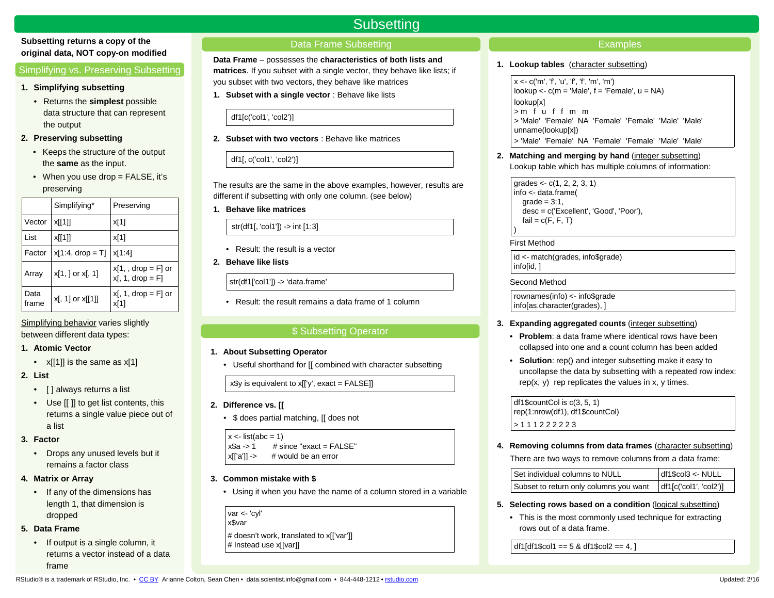# **Subsetting returns a copy of the original data, NOT copy-on modified**

# Simplifying vs. Preserving Subsetting

#### **1. Simplifying subsetting**

- Returns the **simplest** possible data structure that can represent the output
- **2. Preserving subsetting**
	- Keeps the structure of the output the **same** as the input.
	- When you use drop  $=$  FALSE, it's preserving

|               | Simplifying*         | Preserving                                     |
|---------------|----------------------|------------------------------------------------|
| Vector        | x[[1]]               | x[1]                                           |
| List          | x[[1]]               | x[1]                                           |
| Factor        | $x[1:4, drop = T]$   | x[1:4]                                         |
| Array         | $x[1, ]$ or $x[, 1]$ | $x[1, 0, 0]$ arop = F or<br>$x[, 1, drop = F]$ |
| Data<br>frame | $x[, 1]$ or $x[[1]]$ | $x1$ , 1, drop = F or<br>x[1]                  |

Simplifying behavior varies slightly between different data types:

### **1. Atomic Vector**

- $x[[1]]$  is the same as  $x[1]$
- **2. List**
	- [ ] always returns a list
	- Use [[ ]] to get list contents, this returns a single value piece out of a list

# **3. Factor**

• Drops any unused levels but it remains a factor class

# **4. Matrix or Array**

• If any of the dimensions has length 1, that dimension is dropped

# **5. Data Frame**

• If output is a single column, it returns a vector instead of a data frame

# Data Frame Subsetting

**Subsetting** 

**Data Frame** – possesses the **characteristics of both lists and matrices**. If you subset with a single vector, they behave like lists; if you subset with two vectors, they behave like matrices

**1. Subset with a single vector** : Behave like lists

df1[c('col1', 'col2')]

**2. Subset with two vectors** : Behave like matrices

df1[, c('col1', 'col2')]

The results are the same in the above examples, however, results are different if subsetting with only one column. (see below)

**1. Behave like matrices**

str(df1[, 'col1']) -> int [1:3]

- Result: the result is a vector
- **2. Behave like lists**

str(df1['col1']) -> 'data.frame'

• Result: the result remains a data frame of 1 column

# \$ Subsetting Operator

- **1. About Subsetting Operator**
	- Useful shorthand for [[ combined with character subsetting

 $x\$ y is equivalent to  $x[[y', \text{exact} = \text{FALSE}]]$ 

- **2. Difference vs. [[** 
	- \$ does partial matching, [[ does not

```
x \le- list(abc = 1)
```
 $x$ \$a -> 1 # since "exact = FALSE"

 $x[[a']]$  -> # would be an error

# **3. Common mistake with \$**

• Using it when you have the name of a column stored in a variable

var <- 'cyl' x\$var # doesn't work, translated to x[['var']] # Instead use x[[var]]

# **Examples**

### **1. Lookup tables** (character subsetting)

x <- c('m', 'f', 'u', 'f', 'f', 'm', 'm') lookup  $\lt$ - c(m = 'Male', f = 'Female', u = NA) lookup[x] > m f u f f m m > 'Male' 'Female' NA 'Female' 'Female' 'Male' 'Male' unname(lookup[x]) > 'Male' 'Female' NA 'Female' 'Female' 'Male' 'Male'

**2. Matching and merging by hand** (integer subsetting) Lookup table which has multiple columns of information:

 $grades < -c(1, 2, 2, 3, 1)$ info <- data.frame(  $grade = 3:1,$  desc = c('Excellent', 'Good', 'Poor'),  $fail = c(F, F, T)$ 

## First Method

)

id <- match(grades, info\$grade) info[id, ]

## Second Method

rownames(info) <- info\$grade info[as.character(grades), ]

# **3. Expanding aggregated counts** (integer subsetting)

- **Problem**: a data frame where identical rows have been collapsed into one and a count column has been added
- **Solution**: rep() and integer subsetting make it easy to uncollapse the data by subsetting with a repeated row index:  $rep(x, y)$  rep replicates the values in x, y times.

df1\$countCol is c(3, 5, 1) rep(1:nrow(df1), df1\$countCol) > 1 1 1 2 2 2 2 2 3

**4. Removing columns from data frames** (character subsetting)

There are two ways to remove columns from a data frame:

| Set individual columns to NULL         | $df1\$ col $3$ <- NULL  |
|----------------------------------------|-------------------------|
| Subset to return only columns you want | diff[c('col1', 'col2')] |

- **5. Selecting rows based on a condition** (logical subsetting)
	- This is the most commonly used technique for extracting rows out of a data frame.

df1[df1\$col1 =  $=$  5 & df1\$col2 =  $=$  4, ]